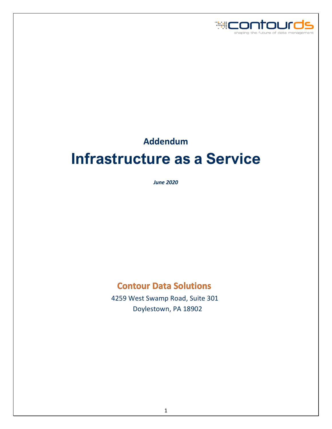

# **Addendum Infrastructure as a Service**

*June 2020*

# **Contour Data Solutions**

 4259 West Swamp Road, Suite 301 Doylestown, PA 18902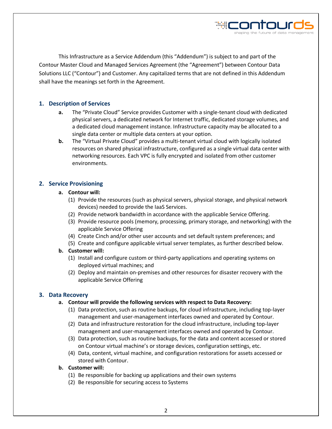This Infrastructure as a Service Addendum (this "Addendum") is subject to and part of the Contour Master Cloud and Managed Services Agreement (the "Agreement") between Contour Data Solutions LLC ("Contour") and Customer. Any capitalized terms that are not defined in this Addendum shall have the meanings set forth in the Agreement.

#### **1. Description of Services**

- **a.** The "Private Cloud" Service provides Customer with a single-tenant cloud with dedicated physical servers, a dedicated network for Internet traffic, dedicated storage volumes, and a dedicated cloud management instance. Infrastructure capacity may be allocated to a single data center or multiple data centers at your option.
- **b.** The "Virtual Private Cloud" provides a multi-tenant virtual cloud with logically isolated resources on shared physical infrastructure, configured as a single virtual data center with networking resources. Each VPC is fully encrypted and isolated from other customer environments.

#### **2. Service Provisioning**

#### **a. Contour will:**

- (1) Provide the resources (such as physical servers, physical storage, and physical network devices) needed to provide the IaaS Services.
- (2) Provide network bandwidth in accordance with the applicable Service Offering.
- (3) Provide resource pools (memory, processing, primary storage, and networking) with the applicable Service Offering
- (4) Create Cinch and/or other user accounts and set default system preferences; and
- (5) Create and configure applicable virtual server templates, as further described below.

#### **b. Customer will:**

- (1) Install and configure custom or third-party applications and operating systems on deployed virtual machines; and
- (2) Deploy and maintain on-premises and other resources for disaster recovery with the applicable Service Offering

#### **3. Data Recovery**

#### **a. Contour will provide the following services with respect to Data Recovery:**

- (1) Data protection, such as routine backups, for cloud infrastructure, including top-layer management and user-management interfaces owned and operated by Contour.
- (2) Data and infrastructure restoration for the cloud infrastructure, including top-layer management and user-management interfaces owned and operated by Contour.
- (3) Data protection, such as routine backups, for the data and content accessed or stored on Contour virtual machine's or storage devices, configuration settings, etc.
- (4) Data, content, virtual machine, and configuration restorations for assets accessed or stored with Contour.

#### **b. Customer will:**

- (1) Be responsible for backing up applications and their own systems
- (2) Be responsible for securing access to Systems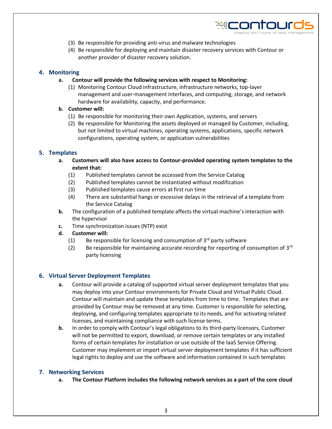

- (3) Be responsible for providing anti-virus and malware technologies
- (4) Be responsible for deploying and maintain disaster recovery services with Contour or another provider of disaster recovery solution.

#### **4. Monitoring**

- **a. Contour will provide the following services with respect to Monitoring:** 
	- (1) Monitoring Contour Cloud infrastructure, infrastructure networks, top-layer management and user-management interfaces, and computing, storage, and network hardware for availability, capacity, and performance.

#### **b. Customer will:**

- (1) Be responsible for monitoring their own Application, systems, and servers
- (2) Be responsible for Monitoring the assets deployed or managed by Customer, including, but not limited to virtual machines, operating systems, applications, specific network configurations, operating system, or application vulnerabilities

#### **5. Templates**

- **a. Customers will also have access to Contour-provided operating system templates to the extent that:** 
	- (1) Published templates cannot be accessed from the Service Catalog
	- (2) Published templates cannot be instantiated without modification
	- (3) Published templates cause errors at first run time
	- (4) There are substantial hangs or excessive delays in the retrieval of a template from the Service Catalog
- **b.** The configuration of a published template affects the virtual machine's interaction with the hypervisor
- **c.** Time synchronization issues (NTP) exist
- **d. Customer will:** 
	- (1) Be responsible for licensing and consumption of  $3<sup>rd</sup>$  party software
	- (2) Be responsible for maintaining accurate recording for reporting of consumption of  $3<sup>rd</sup>$ party licensing

#### **6. Virtual Server Deployment Templates**

- **a.** Contour will provide a catalog of supported virtual server deployment templates that you may deploy into your Contour environments for Private Cloud and Virtual Public Cloud. Contour will maintain and update these templates from time to time. Templates that are provided by Contour may be removed at any time. Customer is responsible for selecting, deploying, and configuring templates appropriate to its needs, and for activating related licenses, and maintaining compliance with such license terms.
- **b.** In order to comply with Contour's legal obligations to its third-party licensors, Customer will not be permitted to export, download, or remove certain templates or any installed forms of certain templates for installation or use outside of the IaaS Service Offering. Customer may implement or import virtual server deployment templates if it has sufficient legal rights to deploy and use the software and information contained in such templates

#### **7. Networking Services**

**a. The Contour Platform includes the following network services as a part of the core cloud**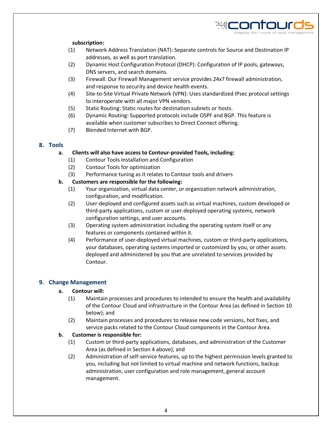

#### **subscription:**

- (1) Network Address Translation (NAT): Separate controls for Source and Destination IP addresses, as well as port translation.
- (2) Dynamic Host Configuration Protocol (DHCP): Configuration of IP pools, gateways, DNS servers, and search domains.
- (3) Firewall: Our Firewall Management service provides 24x7 firewall administration, and response to security and device health events.
- (4) Site-to-Site Virtual Private Network (VPN): Uses standardized IPsec protocol settings to interoperate with all major VPN vendors.
- (5) Static Routing: Static routes for destination subnets or hosts.
- (6) Dynamic Routing: Supported protocols include OSPF and BGP. This feature is available when customer subscribes to Direct Connect offering.
- (7) Blended Internet with BGP.

#### **8. Tools**

#### **a. Clients will also have access to Contour-provided Tools, including:**

- (1) Contour Tools Installation and Configuration
- (2) Contour Tools for optimization
- (3) Performance tuning as it relates to Contour tools and drivers

#### **b. Customers are responsible for the following:**

- (1) Your organization, virtual data center, or organization network administration, configuration, and modification.
- (2) User-deployed and configured assets such as virtual machines, custom developed or third-party applications, custom or user-deployed operating systems, network configuration settings, and user accounts.
- (3) Operating system administration including the operating system itself or any features or components contained within it.
- (4) Performance of user-deployed virtual machines, custom or third-party applications, your databases, operating systems imported or customized by you, or other assets deployed and administered by you that are unrelated to services provided by Contour.

#### **9. Change Management**

#### **a. Contour will:**

- (1) Maintain processes and procedures to intended to ensure the health and availability of the Contour Cloud and infrastructure in the Contour Area (as defined in Section 10 below); and
- (2) Maintain processes and procedures to release new code versions, hot fixes, and service packs related to the Contour Cloud components in the Contour Area.

#### **b. Customer is responsible for:**

- (1) Custom or third-party applications, databases, and administration of the Customer Area (as defined in Section 4 above); and
- (2) Administration of self-service features, up to the highest permission levels granted to you, including but not limited to virtual machine and network functions, backup administration, user configuration and role management, general account management.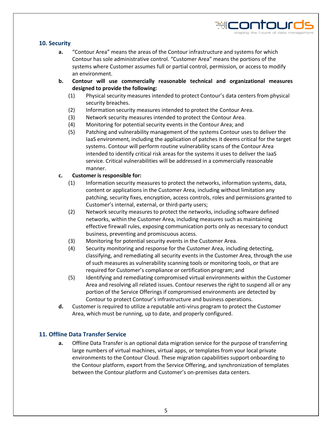#### **10. Security**

**a.** "Contour Area" means the areas of the Contour infrastructure and systems for which Contour has sole administrative control. "Customer Area" means the portions of the systems where Customer assumes full or partial control, permission, or access to modify an environment.

WICOL

- **b. Contour will use commercially reasonable technical and organizational measures designed to provide the following:** 
	- (1) Physical security measures intended to protect Contour's data centers from physical security breaches.
	- (2) Information security measures intended to protect the Contour Area.
	- (3) Network security measures intended to protect the Contour Area.
	- (4) Monitoring for potential security events in the Contour Area; and
	- (5) Patching and vulnerability management of the systems Contour uses to deliver the IaaS environment, including the application of patches it deems critical for the target systems. Contour will perform routine vulnerability scans of the Contour Area intended to identify critical risk areas for the systems it uses to deliver the IaaS service. Critical vulnerabilities will be addressed in a commercially reasonable manner.

#### **c. Customer is responsible for:**

- (1) Information security measures to protect the networks, information systems, data, content or applications in the Customer Area, including without limitation any patching, security fixes, encryption, access controls, roles and permissions granted to Customer's internal, external, or third-party users;
- (2) Network security measures to protect the networks, including software defined networks, within the Customer Area, including measures such as maintaining effective firewall rules, exposing communication ports only as necessary to conduct business, preventing and promiscuous access.
- (3) Monitoring for potential security events in the Customer Area.
- (4) Security monitoring and response for the Customer Area, including detecting, classifying, and remediating all security events in the Customer Area, through the use of such measures as vulnerability scanning tools or monitoring tools, or that are required for Customer's compliance or certification program; and
- (5) Identifying and remediating compromised virtual environments within the Customer Area and resolving all related issues. Contour reserves the right to suspend all or any portion of the Service Offerings if compromised environments are detected by Contour to protect Contour's infrastructure and business operations.
- **d.** Customer is required to utilize a reputable anti-virus program to protect the Customer Area, which must be running, up to date, and properly configured.

#### **11. Offline Data Transfer Service**

**a.** Offline Data Transfer is an optional data migration service for the purpose of transferring large numbers of virtual machines, virtual apps, or templates from your local private environments to the Contour Cloud. These migration capabilities support onboarding to the Contour platform, export from the Service Offering, and synchronization of templates between the Contour platform and Customer's on-premises data centers.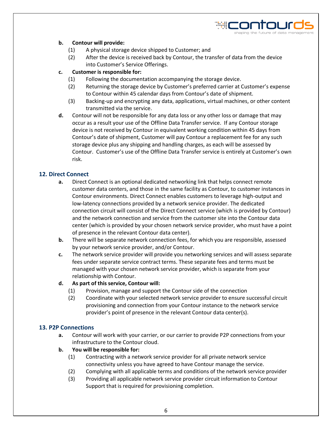

#### **b. Contour will provide:**

- (1) A physical storage device shipped to Customer; and
- (2) After the device is received back by Contour, the transfer of data from the device into Customer's Service Offerings.

#### **c. Customer is responsible for:**

- (1) Following the documentation accompanying the storage device.
- (2) Returning the storage device by Customer's preferred carrier at Customer's expense to Contour within 45 calendar days from Contour's date of shipment.
- (3) Backing-up and encrypting any data, applications, virtual machines, or other content transmitted via the service.
- **d.** Contour will not be responsible for any data loss or any other loss or damage that may occur as a result your use of the Offline Data Transfer service. If any Contour storage device is not received by Contour in equivalent working condition within 45 days from Contour's date of shipment, Customer will pay Contour a replacement fee for any such storage device plus any shipping and handling charges, as each will be assessed by Contour. Customer's use of the Offline Data Transfer service is entirely at Customer's own risk.

#### **12. Direct Connect**

- **a.** Direct Connect is an optional dedicated networking link that helps connect remote customer data centers, and those in the same facility as Contour, to customer instances in Contour environments. Direct Connect enables customers to leverage high-output and low-latency connections provided by a network service provider. The dedicated connection circuit will consist of the Direct Connect service (which is provided by Contour) and the network connection and service from the customer site into the Contour data center (which is provided by your chosen network service provider, who must have a point of presence in the relevant Contour data center).
- **b.** There will be separate network connection fees, for which you are responsible, assessed by your network service provider, and/or Contour.
- **c.** The network service provider will provide you networking services and will assess separate fees under separate service contract terms. These separate fees and terms must be managed with your chosen network service provider, which is separate from your relationship with Contour.
- **d. As part of this service, Contour will:** 
	- (1) Provision, manage and support the Contour side of the connection
	- (2) Coordinate with your selected network service provider to ensure successful circuit provisioning and connection from your Contour instance to the network service provider's point of presence in the relevant Contour data center(s).

#### **13. P2P Connections**

- **a.** Contour will work with your carrier, or our carrier to provide P2P connections from your infrastructure to the Contour cloud.
- **b. You will be responsible for:** 
	- (1) Contracting with a network service provider for all private network service connectivity unless you have agreed to have Contour manage the service.
	- (2) Complying with all applicable terms and conditions of the network service provider
	- (3) Providing all applicable network service provider circuit information to Contour Support that is required for provisioning completion.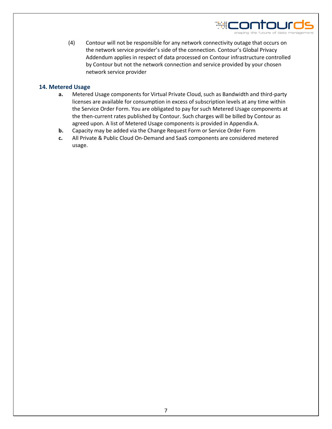(4) Contour will not be responsible for any network connectivity outage that occurs on the network service provider's side of the connection. Contour's Global Privacy Addendum applies in respect of data processed on Contour infrastructure controlled by Contour but not the network connection and service provided by your chosen network service provider

HEONTOL

#### **14. Metered Usage**

- **a.** Metered Usage components for Virtual Private Cloud, such as Bandwidth and third-party licenses are available for consumption in excess of subscription levels at any time within the Service Order Form. You are obligated to pay for such Metered Usage components at the then-current rates published by Contour. Such charges will be billed by Contour as agreed upon. A list of Metered Usage components is provided in Appendix A.
- **b.** Capacity may be added via the Change Request Form or Service Order Form
- **c.** All Private & Public Cloud On-Demand and SaaS components are considered metered usage.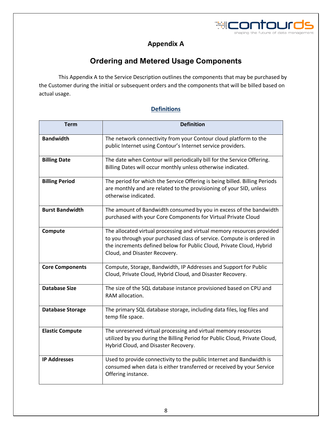

## **Appendix A**

## **Ordering and Metered Usage Components**

This Appendix A to the Service Description outlines the components that may be purchased by the Customer during the initial or subsequent orders and the components that will be billed based on actual usage.

### **Definitions**

| <b>Term</b>             | <b>Definition</b>                                                                                                                                                                                                                                        |  |  |  |  |
|-------------------------|----------------------------------------------------------------------------------------------------------------------------------------------------------------------------------------------------------------------------------------------------------|--|--|--|--|
| <b>Bandwidth</b>        | The network connectivity from your Contour cloud platform to the<br>public Internet using Contour's Internet service providers.                                                                                                                          |  |  |  |  |
| <b>Billing Date</b>     | The date when Contour will periodically bill for the Service Offering.<br>Billing Dates will occur monthly unless otherwise indicated.                                                                                                                   |  |  |  |  |
| <b>Billing Period</b>   | The period for which the Service Offering is being billed. Billing Periods<br>are monthly and are related to the provisioning of your SID, unless<br>otherwise indicated.                                                                                |  |  |  |  |
| <b>Burst Bandwidth</b>  | The amount of Bandwidth consumed by you in excess of the bandwidth<br>purchased with your Core Components for Virtual Private Cloud                                                                                                                      |  |  |  |  |
| Compute                 | The allocated virtual processing and virtual memory resources provided<br>to you through your purchased class of service. Compute is ordered in<br>the increments defined below for Public Cloud, Private Cloud, Hybrid<br>Cloud, and Disaster Recovery. |  |  |  |  |
| <b>Core Components</b>  | Compute, Storage, Bandwidth, IP Addresses and Support for Public<br>Cloud, Private Cloud, Hybrid Cloud, and Disaster Recovery.                                                                                                                           |  |  |  |  |
| <b>Database Size</b>    | The size of the SQL database instance provisioned based on CPU and<br>RAM allocation.                                                                                                                                                                    |  |  |  |  |
| <b>Database Storage</b> | The primary SQL database storage, including data files, log files and<br>temp file space.                                                                                                                                                                |  |  |  |  |
| <b>Elastic Compute</b>  | The unreserved virtual processing and virtual memory resources<br>utilized by you during the Billing Period for Public Cloud, Private Cloud,<br>Hybrid Cloud, and Disaster Recovery.                                                                     |  |  |  |  |
| <b>IP Addresses</b>     | Used to provide connectivity to the public Internet and Bandwidth is<br>consumed when data is either transferred or received by your Service<br>Offering instance.                                                                                       |  |  |  |  |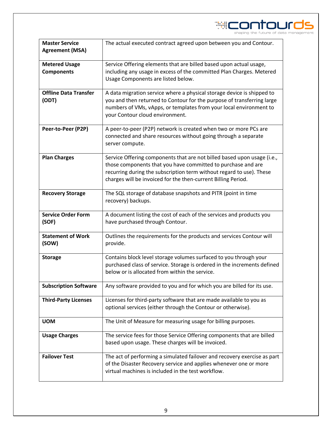

| <b>Master Service</b><br><b>Agreement (MSA)</b> | The actual executed contract agreed upon between you and Contour.                                                                                                                                                                                                                |  |  |  |  |
|-------------------------------------------------|----------------------------------------------------------------------------------------------------------------------------------------------------------------------------------------------------------------------------------------------------------------------------------|--|--|--|--|
| <b>Metered Usage</b><br><b>Components</b>       | Service Offering elements that are billed based upon actual usage,<br>including any usage in excess of the committed Plan Charges. Metered<br>Usage Components are listed below.                                                                                                 |  |  |  |  |
| <b>Offline Data Transfer</b><br>(ODT)           | A data migration service where a physical storage device is shipped to<br>you and then returned to Contour for the purpose of transferring large<br>numbers of VMs, vApps, or templates from your local environment to<br>your Contour cloud environment.                        |  |  |  |  |
| Peer-to-Peer (P2P)                              | A peer-to-peer (P2P) network is created when two or more PCs are<br>connected and share resources without going through a separate<br>server compute.                                                                                                                            |  |  |  |  |
| <b>Plan Charges</b>                             | Service Offering components that are not billed based upon usage (i.e.,<br>those components that you have committed to purchase and are<br>recurring during the subscription term without regard to use). These<br>charges will be invoiced for the then-current Billing Period. |  |  |  |  |
| <b>Recovery Storage</b>                         | The SQL storage of database snapshots and PITR (point in time<br>recovery) backups.                                                                                                                                                                                              |  |  |  |  |
| <b>Service Order Form</b><br>(SOF)              | A document listing the cost of each of the services and products you<br>have purchased through Contour.                                                                                                                                                                          |  |  |  |  |
| <b>Statement of Work</b><br>(SOW)               | Outlines the requirements for the products and services Contour will<br>provide.                                                                                                                                                                                                 |  |  |  |  |
| <b>Storage</b>                                  | Contains block level storage volumes surfaced to you through your<br>purchased class of service. Storage is ordered in the increments defined<br>below or is allocated from within the service.                                                                                  |  |  |  |  |
| <b>Subscription Software</b>                    | Any software provided to you and for which you are billed for its use.                                                                                                                                                                                                           |  |  |  |  |
| <b>Third-Party Licenses</b>                     | Licenses for third-party software that are made available to you as<br>optional services (either through the Contour or otherwise).                                                                                                                                              |  |  |  |  |
| <b>UOM</b>                                      | The Unit of Measure for measuring usage for billing purposes.                                                                                                                                                                                                                    |  |  |  |  |
| <b>Usage Charges</b>                            | The service fees for those Service Offering components that are billed<br>based upon usage. These charges will be invoiced.                                                                                                                                                      |  |  |  |  |
| <b>Failover Test</b>                            | The act of performing a simulated failover and recovery exercise as part<br>of the Disaster Recovery service and applies whenever one or more<br>virtual machines is included in the test workflow.                                                                              |  |  |  |  |